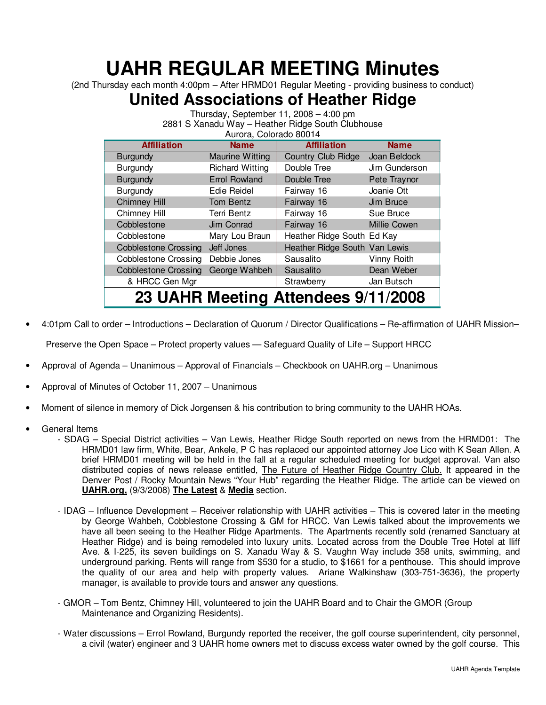## **UAHR REGULAR MEETING Minutes**

(2nd Thursday each month 4:00pm – After HRMD01 Regular Meeting - providing business to conduct)

## **United Associations of Heather Ridge**

Thursday, September 11, 2008 – 4:00 pm 2881 S Xanadu Way – Heather Ridge South Clubhouse Aurora, Colorado 80014

| <b>Affiliation</b>          | <b>Name</b>            | <b>Affiliation</b>                  | <b>Name</b>         |
|-----------------------------|------------------------|-------------------------------------|---------------------|
| <b>Burgundy</b>             | <b>Maurine Witting</b> | Country Club Ridge                  | Joan Beldock        |
| Burgundy                    | <b>Richard Witting</b> | Double Tree                         | Jim Gunderson       |
| <b>Burgundy</b>             | <b>Errol Rowland</b>   | Double Tree                         | Pete Traynor        |
| Burgundy                    | Edie Reidel            | Fairway 16                          | Joanie Ott          |
| <b>Chimney Hill</b>         | Tom Bentz              | Fairway 16                          | Jim Bruce           |
| Chimney Hill                | Terri Bentz            | Fairway 16                          | Sue Bruce           |
| Cobblestone                 | Jim Conrad             | Fairway 16                          | <b>Millie Cowen</b> |
| Cobblestone                 | Mary Lou Braun         | Heather Ridge South Ed Kay          |                     |
| <b>Cobblestone Crossing</b> | Jeff Jones             | Heather Ridge South Van Lewis       |                     |
| <b>Cobblestone Crossing</b> | Debbie Jones           | Sausalito                           | Vinny Roith         |
| <b>Cobblestone Crossing</b> | George Wahbeh          | Sausalito                           | Dean Weber          |
| & HRCC Gen Mgr              |                        | Strawberry                          | Jan Butsch          |
|                             |                        | 23 UAHR Meeting Attendees 9/11/2008 |                     |

- 4:01pm Call to order Introductions Declaration of Quorum / Director Qualifications Re-affirmation of UAHR Mission– Preserve the Open Space – Protect property values — Safeguard Quality of Life – Support HRCC
- Approval of Agenda Unanimous Approval of Financials Checkbook on UAHR.org Unanimous
- Approval of Minutes of October 11, 2007 Unanimous
- Moment of silence in memory of Dick Jorgensen & his contribution to bring community to the UAHR HOAs.
- General Items
	- SDAG Special District activities Van Lewis, Heather Ridge South reported on news from the HRMD01: The HRMD01 law firm, White, Bear, Ankele, P C has replaced our appointed attorney Joe Lico with K Sean Allen. A brief HRMD01 meeting will be held in the fall at a regular scheduled meeting for budget approval. Van also distributed copies of news release entitled, The Future of Heather Ridge Country Club. It appeared in the Denver Post / Rocky Mountain News "Your Hub" regarding the Heather Ridge. The article can be viewed on **UAHR.org,** (9/3/2008) **The Latest** & **Media** section.
	- IDAG Influence Development Receiver relationship with UAHR activities This is covered later in the meeting by George Wahbeh, Cobblestone Crossing & GM for HRCC. Van Lewis talked about the improvements we have all been seeing to the Heather Ridge Apartments. The Apartments recently sold (renamed Sanctuary at Heather Ridge) and is being remodeled into luxury units. Located across from the Double Tree Hotel at Iliff Ave. & I-225, its seven buildings on S. Xanadu Way & S. Vaughn Way include 358 units, swimming, and underground parking. Rents will range from \$530 for a studio, to \$1661 for a penthouse. This should improve the quality of our area and help with property values. Ariane Walkinshaw (303-751-3636), the property manager, is available to provide tours and answer any questions.
	- GMOR Tom Bentz, Chimney Hill, volunteered to join the UAHR Board and to Chair the GMOR (Group Maintenance and Organizing Residents).
	- Water discussions Errol Rowland, Burgundy reported the receiver, the golf course superintendent, city personnel, a civil (water) engineer and 3 UAHR home owners met to discuss excess water owned by the golf course. This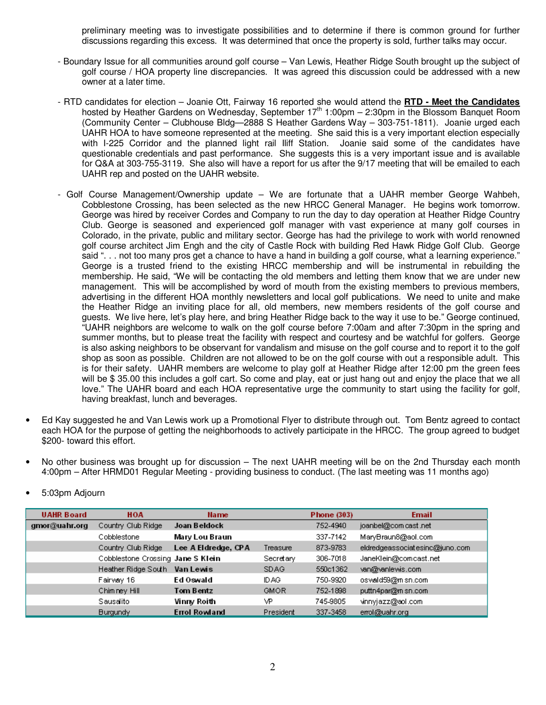preliminary meeting was to investigate possibilities and to determine if there is common ground for further discussions regarding this excess. It was determined that once the property is sold, further talks may occur.

- Boundary Issue for all communities around golf course Van Lewis, Heather Ridge South brought up the subject of golf course / HOA property line discrepancies. It was agreed this discussion could be addressed with a new owner at a later time.
- RTD candidates for election Joanie Ott, Fairway 16 reported she would attend the **RTD Meet the Candidates** hosted by Heather Gardens on Wednesday, September 17<sup>th</sup> 1:00pm – 2:30pm in the Blossom Banquet Room (Community Center – Clubhouse Bldg—2888 S Heather Gardens Way – 303-751-1811). Joanie urged each UAHR HOA to have someone represented at the meeting. She said this is a very important election especially with I-225 Corridor and the planned light rail Iliff Station. Joanie said some of the candidates have questionable credentials and past performance. She suggests this is a very important issue and is available for Q&A at 303-755-3119. She also will have a report for us after the 9/17 meeting that will be emailed to each UAHR rep and posted on the UAHR website.
- Golf Course Management/Ownership update We are fortunate that a UAHR member George Wahbeh, Cobblestone Crossing, has been selected as the new HRCC General Manager. He begins work tomorrow. George was hired by receiver Cordes and Company to run the day to day operation at Heather Ridge Country Club. George is seasoned and experienced golf manager with vast experience at many golf courses in Colorado, in the private, public and military sector. George has had the privilege to work with world renowned golf course architect Jim Engh and the city of Castle Rock with building Red Hawk Ridge Golf Club. George said ". . . not too many pros get a chance to have a hand in building a golf course, what a learning experience." George is a trusted friend to the existing HRCC membership and will be instrumental in rebuilding the membership. He said, "We will be contacting the old members and letting them know that we are under new management. This will be accomplished by word of mouth from the existing members to previous members, advertising in the different HOA monthly newsletters and local golf publications. We need to unite and make the Heather Ridge an inviting place for all, old members, new members residents of the golf course and guests. We live here, let's play here, and bring Heather Ridge back to the way it use to be." George continued, "UAHR neighbors are welcome to walk on the golf course before 7:00am and after 7:30pm in the spring and summer months, but to please treat the facility with respect and courtesy and be watchful for golfers. George is also asking neighbors to be observant for vandalism and misuse on the golf course and to report it to the golf shop as soon as possible. Children are not allowed to be on the golf course with out a responsible adult. This is for their safety. UAHR members are welcome to play golf at Heather Ridge after 12:00 pm the green fees will be \$ 35.00 this includes a golf cart. So come and play, eat or just hang out and enjoy the place that we all love." The UAHR board and each HOA representative urge the community to start using the facility for golf, having breakfast, lunch and beverages.
- Ed Kay suggested he and Van Lewis work up a Promotional Flyer to distribute through out. Tom Bentz agreed to contact each HOA for the purpose of getting the neighborhoods to actively participate in the HRCC. The group agreed to budget \$200- toward this effort.
- No other business was brought up for discussion The next UAHR meeting will be on the 2nd Thursday each month 4:00pm – After HRMD01 Regular Meeting - providing business to conduct. (The last meeting was 11 months ago)

| <b>UAHR Board</b> | <b>HOA</b>                        | <b>Name</b>          |             | <b>Phone (303)</b> | <b>Email</b>                   |
|-------------------|-----------------------------------|----------------------|-------------|--------------------|--------------------------------|
| gmor@uahr.org     | Country Club Ridge                | Joan Beldock         |             | 752-4940           | joanbel@com cast .net          |
|                   | Cobblestone                       | Mary Lou Braun       |             | 337-7142           | MaryBraun8@aol.com             |
|                   | Country Club Ridge                | Lee A Eldredge, CPA  | Treasure    | 873-9783           | eldredgeassociatesinc@juno.com |
|                   | Cobblestone Crossing Jane S Klein |                      | Secretary   | 306-7018           | JaneKlein@comcast.net          |
|                   | Heather Ridge South               | Van Lewis            | SDAG.       | 550c1362           | van@vanlewis.com               |
|                   | Fairway 16                        | Ed Oswald            | ID AG.      | 750-9920           | oswald59@misn.com              |
|                   | Chimney Hill                      | Tom Bentz            | <b>GMOR</b> | 752-1898           | puttn4par@m sn.com             |
|                   | Sausalito                         | Vinny Roith          | VP.         | 745-9805           | vinnyjazz@aol.com              |
|                   | <b>Burgundy</b>                   | <b>Errol Rowland</b> | President   | 337-3458           | errol@uahr.org                 |

• 5:03pm Adjourn